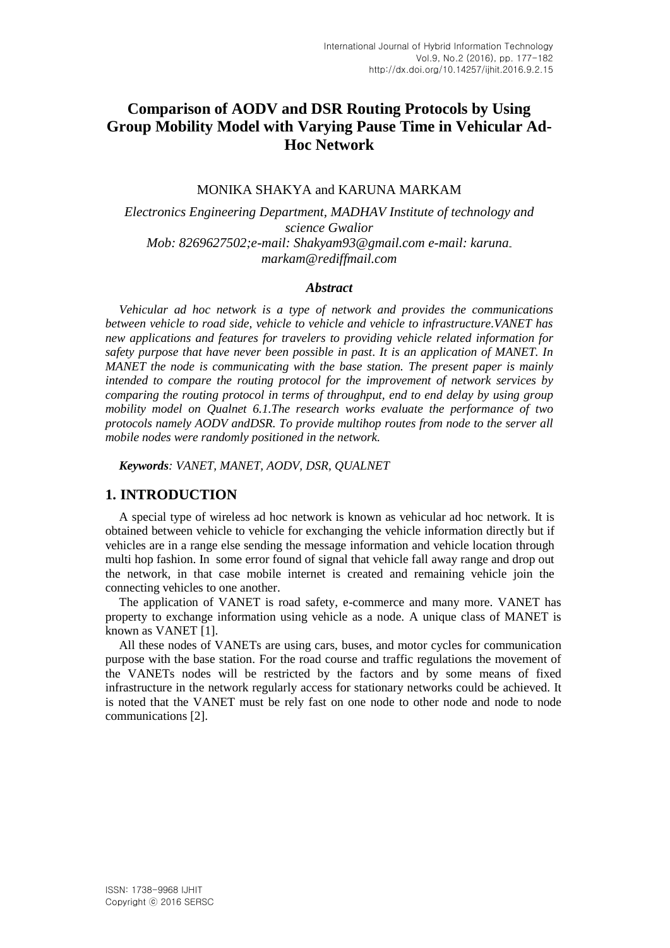# **Comparison of AODV and DSR Routing Protocols by Using Group Mobility Model with Varying Pause Time in Vehicular Ad-Hoc Network**

#### MONIKA SHAKYA and KARUNA MARKAM

*Electronics Engineering Department, MADHAV Institute of technology and science Gwalior Mob: 8269627502;e-mail: Shakyam93@gmail.com e-mail: karunamarkam@rediffmail.com*

#### *Abstract*

*Vehicular ad hoc network is a type of network and provides the communications between vehicle to road side, vehicle to vehicle and vehicle to infrastructure.VANET has new applications and features for travelers to providing vehicle related information for safety purpose that have never been possible in past. It is an application of MANET. In MANET the node is communicating with the base station. The present paper is mainly intended to compare the routing protocol for the improvement of network services by comparing the routing protocol in terms of throughput, end to end delay by using group mobility model on Qualnet 6.1.The research works evaluate the performance of two protocols namely AODV andDSR. To provide multihop routes from node to the server all mobile nodes were randomly positioned in the network.*

*Keywords: VANET, MANET, AODV, DSR, QUALNET*

### **1. INTRODUCTION**

A special type of wireless ad hoc network is known as vehicular ad hoc network. It is obtained between vehicle to vehicle for exchanging the vehicle information directly but if vehicles are in a range else sending the message information and vehicle location through multi hop fashion. In some error found of signal that vehicle fall away range and drop out the network, in that case mobile internet is created and remaining vehicle join the connecting vehicles to one another.

The application of VANET is road safety, e-commerce and many more. VANET has property to exchange information using vehicle as a node. A unique class of MANET is known as VANET [1].

All these nodes of VANETs are using cars, buses, and motor cycles for communication purpose with the base station. For the road course and traffic regulations the movement of the VANETs nodes will be restricted by the factors and by some means of fixed infrastructure in the network regularly access for stationary networks could be achieved. It is noted that the VANET must be rely fast on one node to other node and node to node communications [2].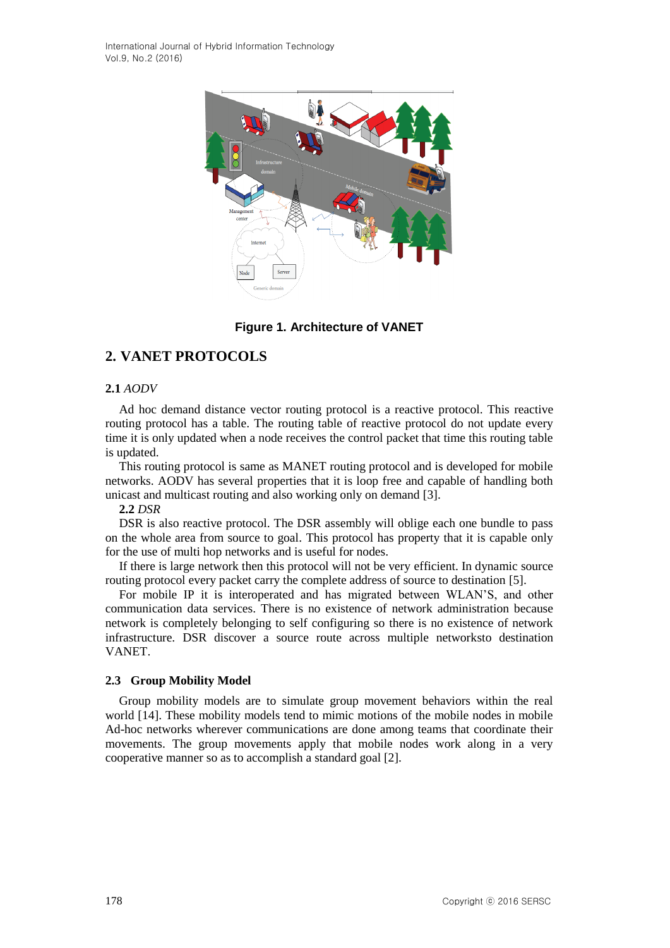

**Figure 1. Architecture of VANET**

# **2. VANET PROTOCOLS**

### **2.1** *AODV*

Ad hoc demand distance vector routing protocol is a reactive protocol. This reactive routing protocol has a table. The routing table of reactive protocol do not update every time it is only updated when a node receives the control packet that time this routing table is updated.

This routing protocol is same as MANET routing protocol and is developed for mobile networks. AODV has several properties that it is loop free and capable of handling both unicast and multicast routing and also working only on demand [3].

**2.2** *DSR*

DSR is also reactive protocol. The DSR assembly will oblige each one bundle to pass on the whole area from source to goal. This protocol has property that it is capable only for the use of multi hop networks and is useful for nodes.

If there is large network then this protocol will not be very efficient. In dynamic source routing protocol every packet carry the complete address of source to destination [5].

For mobile IP it is interoperated and has migrated between WLAN'S, and other communication data services. There is no existence of network administration because network is completely belonging to self configuring so there is no existence of network infrastructure. DSR discover a source route across multiple networksto destination VANET.

#### **2.3 Group Mobility Model**

Group mobility models are to simulate group movement behaviors within the real world [14]. These mobility models tend to mimic motions of the mobile nodes in mobile Ad-hoc networks wherever communications are done among teams that coordinate their movements. The group movements apply that mobile nodes work along in a very cooperative manner so as to accomplish a standard goal [2].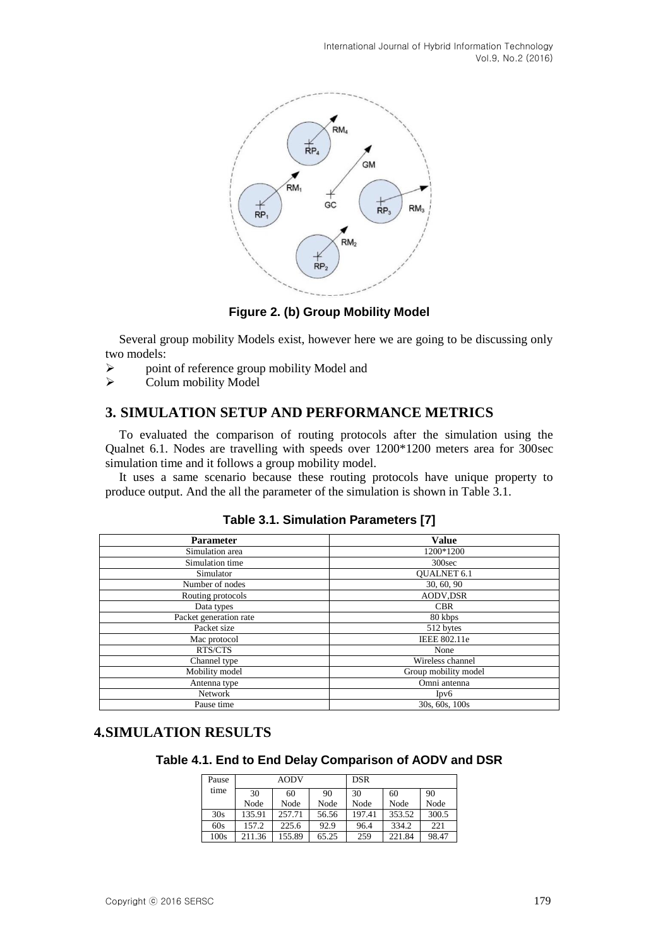

**Figure 2. (b) Group Mobility Model**

Several group mobility Models exist, however here we are going to be discussing only two models:

- $\triangleright$  point of reference group mobility Model and
- $\triangleright$  Colum mobility Model

## **3. SIMULATION SETUP AND PERFORMANCE METRICS**

To evaluated the comparison of routing protocols after the simulation using the Qualnet 6.1. Nodes are travelling with speeds over 1200\*1200 meters area for 300sec simulation time and it follows a group mobility model.

It uses a same scenario because these routing protocols have unique property to produce output. And the all the parameter of the simulation is shown in Table 3.1.

| <b>Parameter</b>             | <b>Value</b>         |  |  |
|------------------------------|----------------------|--|--|
| Simulation area              | 1200*1200            |  |  |
| Simulation time              | 300 <sub>sec</sub>   |  |  |
| Simulator                    | <b>OUALNET 6.1</b>   |  |  |
| Number of nodes              | 30, 60, 90           |  |  |
| Routing protocols            | <b>AODV,DSR</b>      |  |  |
| Data types                   | <b>CBR</b>           |  |  |
| Packet generation rate       | 80 kbps              |  |  |
| Packet size                  | 512 bytes            |  |  |
| Mac protocol                 | IEEE 802.11e         |  |  |
| RTS/CTS                      | None                 |  |  |
| Channel type                 | Wireless channel     |  |  |
| Mobility model               | Group mobility model |  |  |
| Omni antenna<br>Antenna type |                      |  |  |
| Network                      | Ipv6                 |  |  |
| 30s, 60s, 100s<br>Pause time |                      |  |  |

**Table 3.1. Simulation Parameters [7]**

### **4.SIMULATION RESULTS**

**Table 4.1. End to End Delay Comparison of AODV and DSR**

| Pause | AODV   |        |       | <b>DSR</b> |        |       |
|-------|--------|--------|-------|------------|--------|-------|
| time  | 30     | 60     | 90    | 30         | 60     | 90    |
|       | Node   | Node   | Node  | Node       | Node   | Node  |
| 30s   | 135.91 | 257.71 | 56.56 | 197.41     | 353.52 | 300.5 |
| 60s   | 157.2  | 225.6  | 92.9  | 96.4       | 334.2  | 221   |
| 100s  | 211.36 | 155.89 | 65.25 | 259        | 221.84 | 98.47 |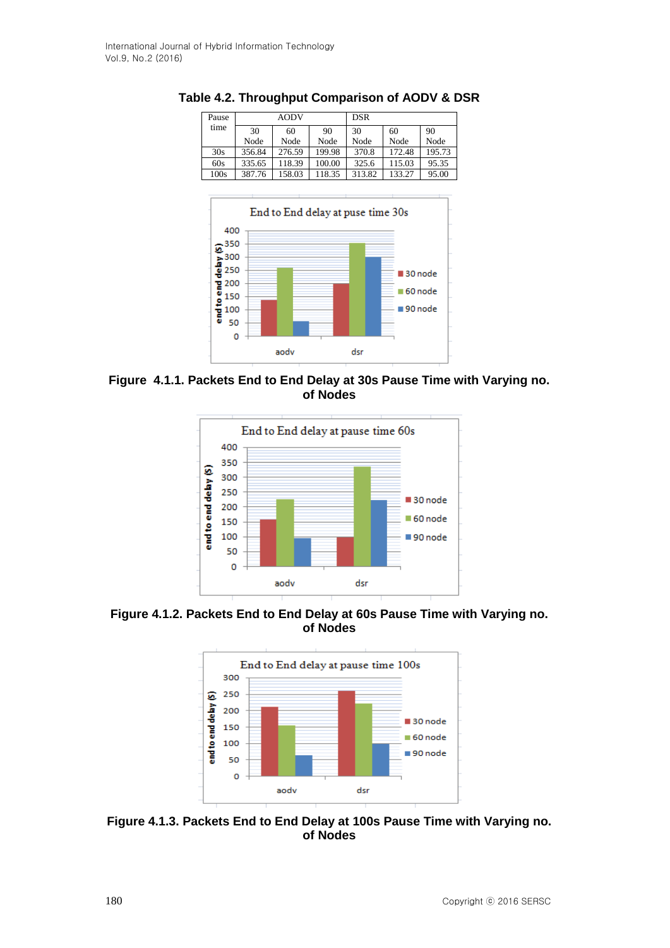| Pause | <b>AODV</b> |        |        | DSR    |        |        |
|-------|-------------|--------|--------|--------|--------|--------|
| time  | 30          | 60     | 90     | 30     | 60     | 90     |
|       | Node        | Node   | Node   | Node   | Node   | Node   |
| 30s   | 356.84      | 276.59 | 199.98 | 370.8  | 172.48 | 195.73 |
| 60s   | 335.65      | 118.39 | 100.00 | 325.6  | 115.03 | 95.35  |
| 100s  | 387.76      | 158.03 | 118.35 | 313.82 | 133.27 | 95.00  |

**Table 4.2. Throughput Comparison of AODV & DSR** 



**Figure 4.1.1. Packets End to End Delay at 30s Pause Time with Varying no. of Nodes**



**Figure 4.1.2. Packets End to End Delay at 60s Pause Time with Varying no. of Nodes**



**Figure 4.1.3. Packets End to End Delay at 100s Pause Time with Varying no. of Nodes**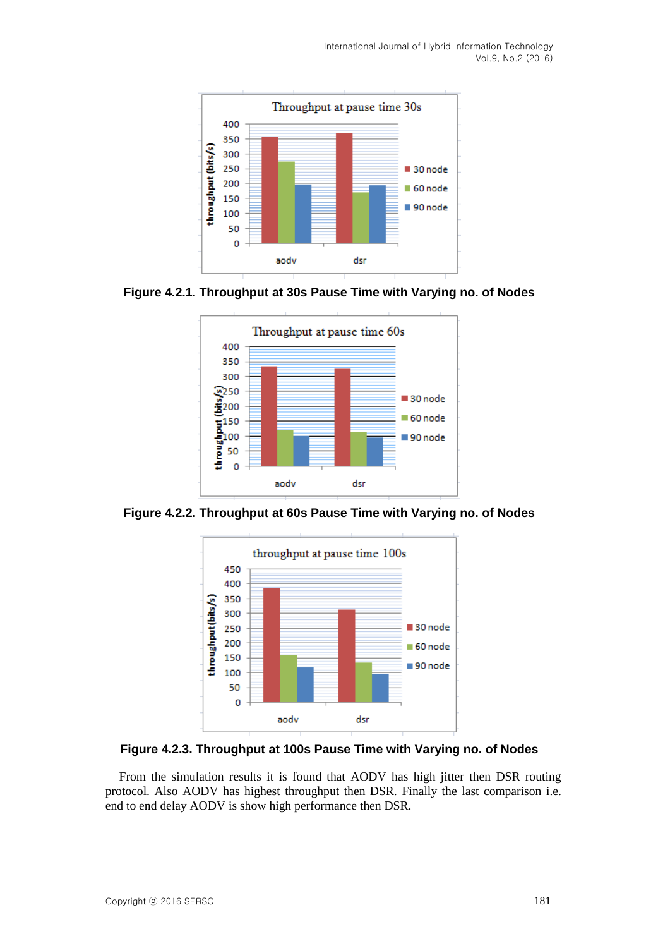

**Figure 4.2.1. Throughput at 30s Pause Time with Varying no. of Nodes**



**Figure 4.2.2. Throughput at 60s Pause Time with Varying no. of Nodes**



**Figure 4.2.3. Throughput at 100s Pause Time with Varying no. of Nodes**

From the simulation results it is found that AODV has high jitter then DSR routing protocol. Also AODV has highest throughput then DSR. Finally the last comparison i.e. end to end delay AODV is show high performance then DSR.